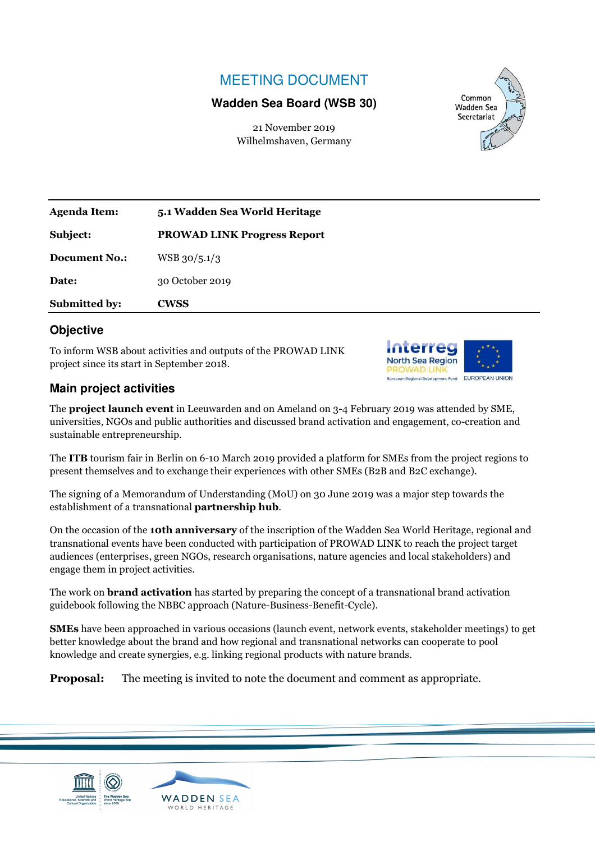## MEETING DOCUMENT

## **Wadden Sea Board (WSB 30)**

21 November 2019 Wilhelmshaven, Germany



| <b>Agenda Item:</b>  | 5.1 Wadden Sea World Heritage      |
|----------------------|------------------------------------|
| Subject:             | <b>PROWAD LINK Progress Report</b> |
| <b>Document No.:</b> | $WSB$ 30/5.1/3                     |
| Date:                | 30 October 2019                    |
| <b>Submitted by:</b> | <b>CWSS</b>                        |

## **Objective**

To inform WSB about activities and outputs of the PROWAD LINK project since its start in September 2018.



## **Main project activities**

The **project launch event** in Leeuwarden and on Ameland on 3-4 February 2019 was attended by SME, universities, NGOs and public authorities and discussed brand activation and engagement, co-creation and sustainable entrepreneurship.

The **ITB** tourism fair in Berlin on 6-10 March 2019 provided a platform for SMEs from the project regions to present themselves and to exchange their experiences with other SMEs (B2B and B2C exchange).

The signing of a Memorandum of Understanding (MoU) on 30 June 2019 was a major step towards the establishment of a transnational **partnership hub**.

On the occasion of the **10th anniversary** of the inscription of the Wadden Sea World Heritage, regional and transnational events have been conducted with participation of PROWAD LINK to reach the project target audiences (enterprises, green NGOs, research organisations, nature agencies and local stakeholders) and engage them in project activities.

The work on **brand activation** has started by preparing the concept of a transnational brand activation guidebook following the NBBC approach (Nature-Business-Benefit-Cycle).

**SMEs** have been approached in various occasions (launch event, network events, stakeholder meetings) to get better knowledge about the brand and how regional and transnational networks can cooperate to pool knowledge and create synergies, e.g. linking regional products with nature brands.

**Proposal:** The meeting is invited to note the document and comment as appropriate.



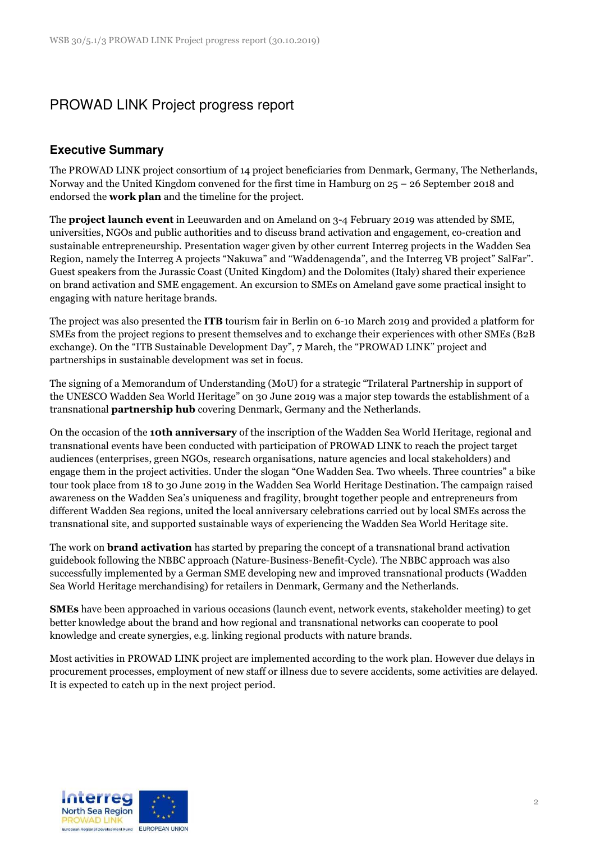# PROWAD LINK Project progress report

## **Executive Summary**

The PROWAD LINK project consortium of 14 project beneficiaries from Denmark, Germany, The Netherlands, Norway and the United Kingdom convened for the first time in Hamburg on 25 – 26 September 2018 and endorsed the **work plan** and the timeline for the project.

The **project launch event** in Leeuwarden and on Ameland on 3-4 February 2019 was attended by SME, universities, NGOs and public authorities and to discuss brand activation and engagement, co-creation and sustainable entrepreneurship. Presentation wager given by other current Interreg projects in the Wadden Sea Region, namely the Interreg A projects "Nakuwa" and "Waddenagenda", and the Interreg VB project" SalFar". Guest speakers from the Jurassic Coast (United Kingdom) and the Dolomites (Italy) shared their experience on brand activation and SME engagement. An excursion to SMEs on Ameland gave some practical insight to engaging with nature heritage brands.

The project was also presented the **ITB** tourism fair in Berlin on 6-10 March 2019 and provided a platform for SMEs from the project regions to present themselves and to exchange their experiences with other SMEs (B2B exchange). On the "ITB Sustainable Development Day", 7 March, the "PROWAD LINK" project and partnerships in sustainable development was set in focus.

The signing of a Memorandum of Understanding (MoU) for a strategic "Trilateral Partnership in support of the UNESCO Wadden Sea World Heritage" on 30 June 2019 was a major step towards the establishment of a transnational **partnership hub** covering Denmark, Germany and the Netherlands.

On the occasion of the **10th anniversary** of the inscription of the Wadden Sea World Heritage, regional and transnational events have been conducted with participation of PROWAD LINK to reach the project target audiences (enterprises, green NGOs, research organisations, nature agencies and local stakeholders) and engage them in the project activities. Under the slogan "One Wadden Sea. Two wheels. Three countries" a bike tour took place from 18 to 30 June 2019 in the Wadden Sea World Heritage Destination. The campaign raised awareness on the Wadden Sea's uniqueness and fragility, brought together people and entrepreneurs from different Wadden Sea regions, united the local anniversary celebrations carried out by local SMEs across the transnational site, and supported sustainable ways of experiencing the Wadden Sea World Heritage site.

The work on **brand activation** has started by preparing the concept of a transnational brand activation guidebook following the NBBC approach (Nature-Business-Benefit-Cycle). The NBBC approach was also successfully implemented by a German SME developing new and improved transnational products (Wadden Sea World Heritage merchandising) for retailers in Denmark, Germany and the Netherlands.

**SMEs** have been approached in various occasions (launch event, network events, stakeholder meeting) to get better knowledge about the brand and how regional and transnational networks can cooperate to pool knowledge and create synergies, e.g. linking regional products with nature brands.

Most activities in PROWAD LINK project are implemented according to the work plan. However due delays in procurement processes, employment of new staff or illness due to severe accidents, some activities are delayed. It is expected to catch up in the next project period.

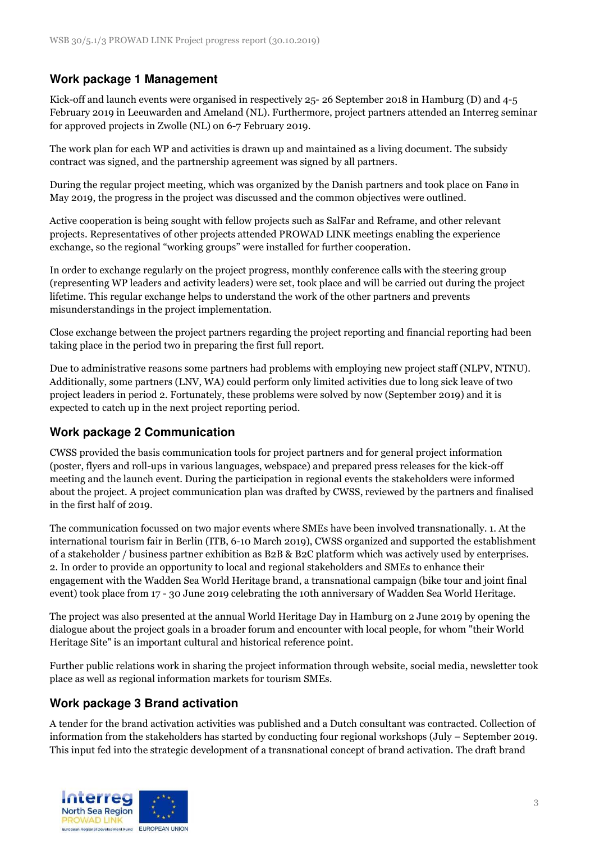## **Work package 1 Management**

Kick-off and launch events were organised in respectively 25- 26 September 2018 in Hamburg (D) and 4-5 February 2019 in Leeuwarden and Ameland (NL). Furthermore, project partners attended an Interreg seminar for approved projects in Zwolle (NL) on 6-7 February 2019.

The work plan for each WP and activities is drawn up and maintained as a living document. The subsidy contract was signed, and the partnership agreement was signed by all partners.

During the regular project meeting, which was organized by the Danish partners and took place on Fanø in May 2019, the progress in the project was discussed and the common objectives were outlined.

Active cooperation is being sought with fellow projects such as SalFar and Reframe, and other relevant projects. Representatives of other projects attended PROWAD LINK meetings enabling the experience exchange, so the regional "working groups" were installed for further cooperation.

In order to exchange regularly on the project progress, monthly conference calls with the steering group (representing WP leaders and activity leaders) were set, took place and will be carried out during the project lifetime. This regular exchange helps to understand the work of the other partners and prevents misunderstandings in the project implementation.

Close exchange between the project partners regarding the project reporting and financial reporting had been taking place in the period two in preparing the first full report.

Due to administrative reasons some partners had problems with employing new project staff (NLPV, NTNU). Additionally, some partners (LNV, WA) could perform only limited activities due to long sick leave of two project leaders in period 2. Fortunately, these problems were solved by now (September 2019) and it is expected to catch up in the next project reporting period.

## **Work package 2 Communication**

CWSS provided the basis communication tools for project partners and for general project information (poster, flyers and roll-ups in various languages, webspace) and prepared press releases for the kick-off meeting and the launch event. During the participation in regional events the stakeholders were informed about the project. A project communication plan was drafted by CWSS, reviewed by the partners and finalised in the first half of 2019.

The communication focussed on two major events where SMEs have been involved transnationally. 1. At the international tourism fair in Berlin (ITB, 6-10 March 2019), CWSS organized and supported the establishment of a stakeholder / business partner exhibition as B2B & B2C platform which was actively used by enterprises. 2. In order to provide an opportunity to local and regional stakeholders and SMEs to enhance their engagement with the Wadden Sea World Heritage brand, a transnational campaign (bike tour and joint final event) took place from 17 - 30 June 2019 celebrating the 10th anniversary of Wadden Sea World Heritage.

The project was also presented at the annual World Heritage Day in Hamburg on 2 June 2019 by opening the dialogue about the project goals in a broader forum and encounter with local people, for whom "their World Heritage Site" is an important cultural and historical reference point.

Further public relations work in sharing the project information through website, social media, newsletter took place as well as regional information markets for tourism SMEs.

## **Work package 3 Brand activation**

A tender for the brand activation activities was published and a Dutch consultant was contracted. Collection of information from the stakeholders has started by conducting four regional workshops (July – September 2019. This input fed into the strategic development of a transnational concept of brand activation. The draft brand